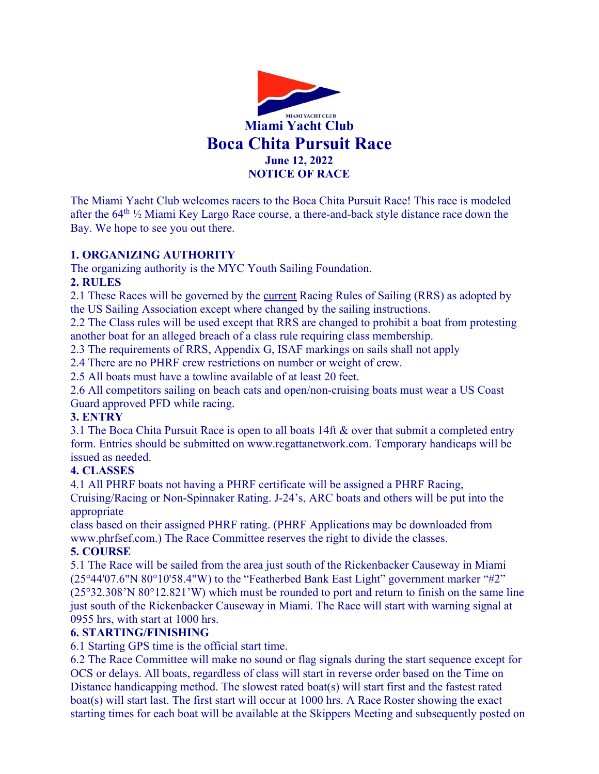

The Miami Yacht Club welcomes racers to the Boca Chita Pursuit Race! This race is modeled after the  $64^{\text{th}}$  1/2 Miami Key Largo Race course, a there-and-back style distance race down the Bay. We hope to see you out there.

#### 1. ORGANIZING AUTHORITY

The organizing authority is the MYC Youth Sailing Foundation.

#### 2. RULES

2.1 These Races will be governed by the current Racing Rules of Sailing (RRS) as adopted by the US Sailing Association except where changed by the sailing instructions.

2.2 The Class rules will be used except that RRS are changed to prohibit a boat from protesting another boat for an alleged breach of a class rule requiring class membership.

2.3 The requirements of RRS, Appendix G, ISAF markings on sails shall not apply

2.4 There are no PHRF crew restrictions on number or weight of crew.

2.5 All boats must have a towline available of at least 20 feet.

2.6 All competitors sailing on beach cats and open/non-cruising boats must wear a US Coast Guard approved PFD while racing.

#### 3. ENTRY

3.1 The Boca Chita Pursuit Race is open to all boats 14ft & over that submit a completed entry form. Entries should be submitted on www.regattanetwork.com. Temporary handicaps will be issued as needed.

#### 4. CLASSES

4.1 All PHRF boats not having a PHRF certificate will be assigned a PHRF Racing, Cruising/Racing or Non-Spinnaker Rating. J-24's, ARC boats and others will be put into the appropriate

class based on their assigned PHRF rating. (PHRF Applications may be downloaded from www.phrfsef.com.) The Race Committee reserves the right to divide the classes.

#### 5. COURSE

5.1 The Race will be sailed from the area just south of the Rickenbacker Causeway in Miami (25°44'07.6"N 80°10'58.4"W) to the "Featherbed Bank East Light" government marker "#2" (25°32.308'N 80°12.821'W) which must be rounded to port and return to finish on the same line just south of the Rickenbacker Causeway in Miami. The Race will start with warning signal at 0955 hrs, with start at 1000 hrs.

#### 6. STARTING/FINISHING

6.1 Starting GPS time is the official start time.

6.2 The Race Committee will make no sound or flag signals during the start sequence except for OCS or delays. All boats, regardless of class will start in reverse order based on the Time on Distance handicapping method. The slowest rated boat(s) will start first and the fastest rated boat(s) will start last. The first start will occur at 1000 hrs. A Race Roster showing the exact starting times for each boat will be available at the Skippers Meeting and subsequently posted on